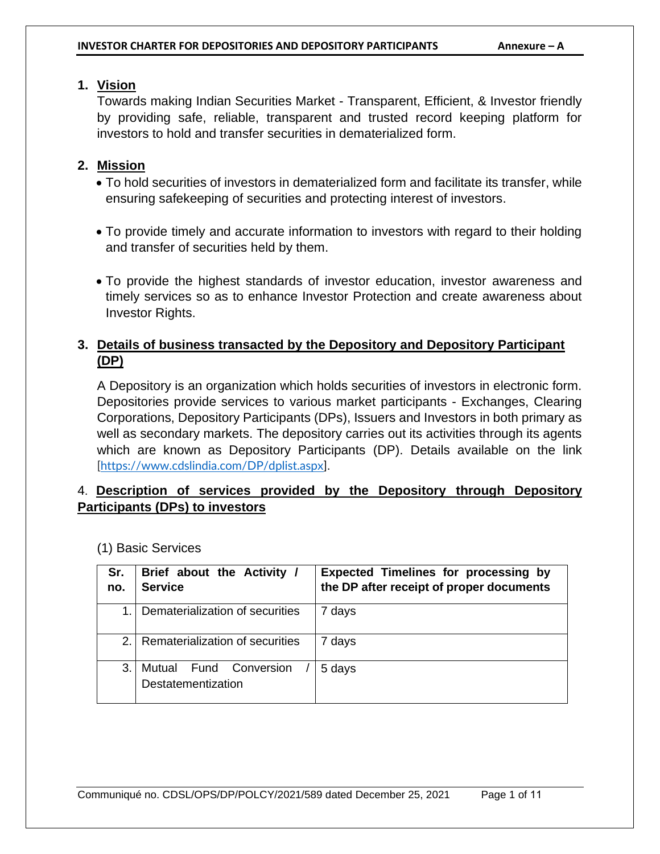### **1. Vision**

Towards making Indian Securities Market - Transparent, Efficient, & Investor friendly by providing safe, reliable, transparent and trusted record keeping platform for investors to hold and transfer securities in dematerialized form.

#### **2. Mission**

- To hold securities of investors in dematerialized form and facilitate its transfer, while ensuring safekeeping of securities and protecting interest of investors.
- To provide timely and accurate information to investors with regard to their holding and transfer of securities held by them.
- To provide the highest standards of investor education, investor awareness and timely services so as to enhance Investor Protection and create awareness about Investor Rights.

# **3. Details of business transacted by the Depository and Depository Participant (DP)**

A Depository is an organization which holds securities of investors in electronic form. Depositories provide services to various market participants - Exchanges, Clearing Corporations, Depository Participants (DPs), Issuers and Investors in both primary as well as secondary markets. The depository carries out its activities through its agents which are known as Depository Participants (DP). Details available on the link [https://www.cdslindia.com/DP/dplist.aspx].

# 4. **Description of services provided by the Depository through Depository Participants (DPs) to investors**

| Sr.<br>no. | Brief about the Activity /<br><b>Service</b>    | Expected Timelines for processing by<br>the DP after receipt of proper documents |
|------------|-------------------------------------------------|----------------------------------------------------------------------------------|
| 1          | Dematerialization of securities                 | 7 days                                                                           |
| 2.1        | Rematerialization of securities                 | days                                                                             |
| 3.         | Fund Conversion<br>Mutual<br>Destatementization | 5 days                                                                           |

(1) Basic Services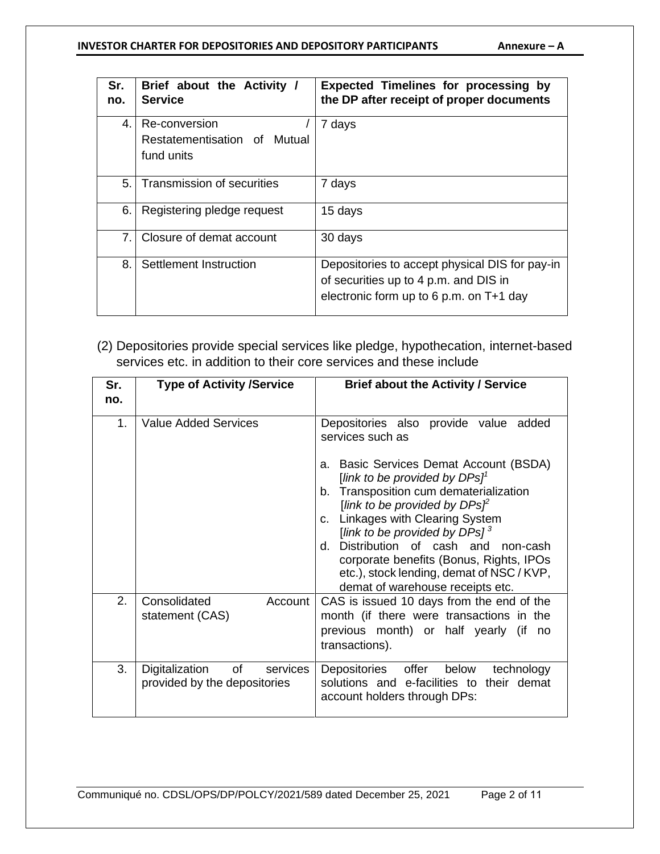#### **INVESTOR CHARTER FOR DEPOSITORIES AND DEPOSITORY PARTICIPANTS Annexure - A**

| Sr.<br>no.     | Brief about the Activity /<br><b>Service</b> | <b>Expected Timelines for processing by</b><br>the DP after receipt of proper documents                                              |
|----------------|----------------------------------------------|--------------------------------------------------------------------------------------------------------------------------------------|
| $\mathbf{4}$ . | Re-conversion                                | 7 days                                                                                                                               |
|                | Restatementisation of Mutual                 |                                                                                                                                      |
|                | fund units                                   |                                                                                                                                      |
| 5.             | Transmission of securities                   | 7 days                                                                                                                               |
| 6.             | Registering pledge request                   | 15 days                                                                                                                              |
| 7.             | Closure of demat account                     | 30 days                                                                                                                              |
| 8.             | Settlement Instruction                       | Depositories to accept physical DIS for pay-in<br>of securities up to 4 p.m. and DIS in<br>electronic form up to 6 p.m. on $T+1$ day |

(2) Depositories provide special services like pledge, hypothecation, internet-based services etc. in addition to their core services and these include

| Sr.<br>no.     | <b>Type of Activity /Service</b>                                             | <b>Brief about the Activity / Service</b>                                                                                                                                                                                                                                                                                                                                                                                                                                  |
|----------------|------------------------------------------------------------------------------|----------------------------------------------------------------------------------------------------------------------------------------------------------------------------------------------------------------------------------------------------------------------------------------------------------------------------------------------------------------------------------------------------------------------------------------------------------------------------|
| 1 <sub>1</sub> | <b>Value Added Services</b>                                                  | Depositories also provide value added<br>services such as<br>a. Basic Services Demat Account (BSDA)<br>[link to be provided by $DPSl^1$<br>b. Transposition cum dematerialization<br>[link to be provided by $DPs\mathcal{F}$<br>c. Linkages with Clearing System<br>[link to be provided by DPs] $^3$<br>d. Distribution of cash and non-cash<br>corporate benefits (Bonus, Rights, IPOs<br>etc.), stock lending, demat of NSC / KVP,<br>demat of warehouse receipts etc. |
| 2.             | Consolidated<br>Account<br>statement (CAS)                                   | CAS is issued 10 days from the end of the<br>month (if there were transactions in the<br>previous month) or half yearly (if<br>no<br>transactions).                                                                                                                                                                                                                                                                                                                        |
| 3.             | of the control<br>Digitalization<br>services<br>provided by the depositories | below<br>Depositories offer<br>technology<br>solutions and e-facilities to their demat<br>account holders through DPs:                                                                                                                                                                                                                                                                                                                                                     |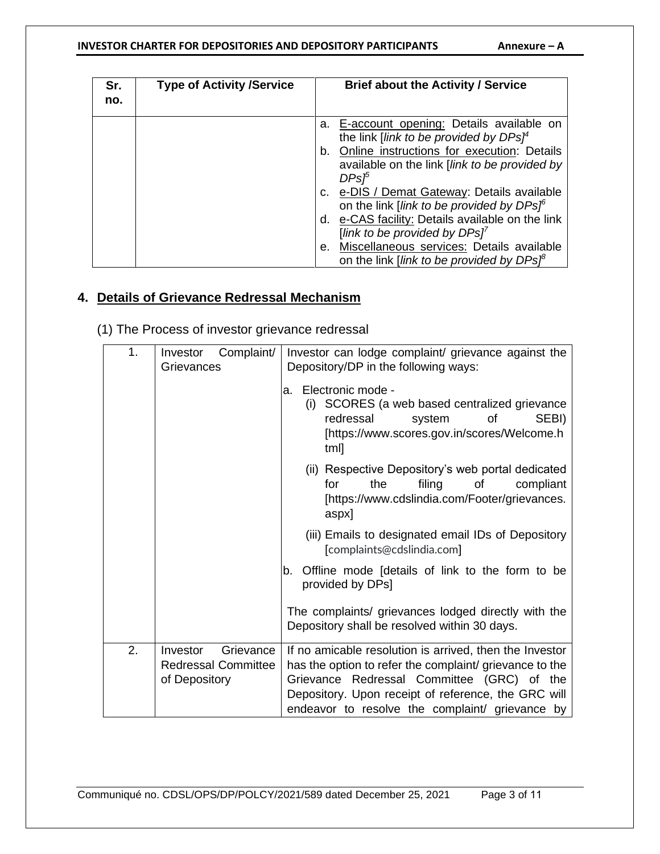#### INVESTOR CHARTER FOR DEPOSITORIES AND DEPOSITORY PARTICIPANTS **Annexure** - A

| Sr.<br>no. | <b>Type of Activity /Service</b> | <b>Brief about the Activity / Service</b>                                                                             |
|------------|----------------------------------|-----------------------------------------------------------------------------------------------------------------------|
|            |                                  | E-account opening: Details available on<br>а.<br>the link [ <i>link to be provided by DPs</i> $\uparrow^4$            |
|            |                                  | Online instructions for execution: Details<br>b.<br>available on the link [link to be provided by<br>DPs <sup>p</sup> |
|            |                                  | c. e-DIS / Demat Gateway: Details available<br>on the link [link to be provided by DPs] <sup>6</sup>                  |
|            |                                  | d. e-CAS facility: Details available on the link<br>[link to be provided by $DPs$ ] <sup>7</sup>                      |
|            |                                  | Miscellaneous services: Details available<br>е.<br>on the link [link to be provided by $DPs^{\beta}$                  |

# **4. Details of Grievance Redressal Mechanism**

(1) The Process of investor grievance redressal

| 1. | Complaint/<br>Investor<br>Grievances        | Investor can lodge complaint/ grievance against the<br>Depository/DP in the following ways:                                                                                                                     |
|----|---------------------------------------------|-----------------------------------------------------------------------------------------------------------------------------------------------------------------------------------------------------------------|
|    |                                             | Electronic mode -<br>a.<br>SCORES (a web based centralized grievance<br>(i)<br>redressal<br>SEBI)<br><b>of</b><br>system<br>[https://www.scores.gov.in/scores/Welcome.h<br>tml]                                 |
|    |                                             | (ii) Respective Depository's web portal dedicated<br>filing<br>the<br>of<br>compliant<br>for<br>[https://www.cdslindia.com/Footer/grievances.<br>aspx]                                                          |
|    |                                             | (iii) Emails to designated email IDs of Depository<br>[complaints@cdslindia.com]                                                                                                                                |
|    |                                             | Offline mode [details of link to the form to be<br>b.<br>provided by DPs]                                                                                                                                       |
|    |                                             | The complaints/ grievances lodged directly with the<br>Depository shall be resolved within 30 days.                                                                                                             |
| 2. | Investor<br>Grievance                       | If no amicable resolution is arrived, then the Investor                                                                                                                                                         |
|    | <b>Redressal Committee</b><br>of Depository | has the option to refer the complaint/ grievance to the<br>Grievance Redressal Committee (GRC) of the<br>Depository. Upon receipt of reference, the GRC will<br>endeavor to resolve the complaint/ grievance by |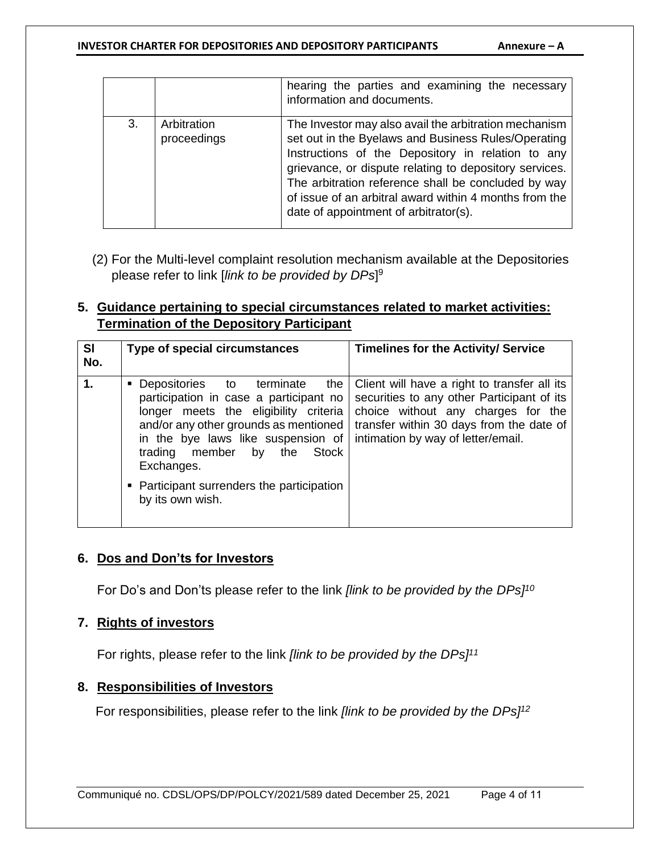#### **INVESTOR CHARTER FOR DEPOSITORIES AND DEPOSITORY PARTICIPANTS Annexure - A**

|    |                            | hearing the parties and examining the necessary<br>information and documents.                                                                                                                                                                                                                                                                                                         |
|----|----------------------------|---------------------------------------------------------------------------------------------------------------------------------------------------------------------------------------------------------------------------------------------------------------------------------------------------------------------------------------------------------------------------------------|
| 3. | Arbitration<br>proceedings | The Investor may also avail the arbitration mechanism<br>set out in the Byelaws and Business Rules/Operating<br>Instructions of the Depository in relation to any<br>grievance, or dispute relating to depository services.<br>The arbitration reference shall be concluded by way<br>of issue of an arbitral award within 4 months from the<br>date of appointment of arbitrator(s). |

(2) For the Multi-level complaint resolution mechanism available at the Depositories please refer to link [*link to be provided by DPs*] 9

### **5. Guidance pertaining to special circumstances related to market activities: Termination of the Depository Participant**

| SI<br>Type of special circumstances<br>No.                                                                                                                                                                                                                                                                                        | <b>Timelines for the Activity/ Service</b>                                                                                                                                                                               |
|-----------------------------------------------------------------------------------------------------------------------------------------------------------------------------------------------------------------------------------------------------------------------------------------------------------------------------------|--------------------------------------------------------------------------------------------------------------------------------------------------------------------------------------------------------------------------|
| 1.<br>• Depositories<br>to terminate<br>participation in case a participant no<br>longer meets the eligibility criteria<br>and/or any other grounds as mentioned<br>in the bye laws like suspension of<br>member<br>trading<br>Stock<br>the<br>by<br>Exchanges.<br>• Participant surrenders the participation<br>by its own wish. | the   Client will have a right to transfer all its<br>securities to any other Participant of its<br>choice without any charges for the<br>transfer within 30 days from the date of<br>intimation by way of letter/email. |

#### **6. Dos and Don'ts for Investors**

For Do's and Don'ts please refer to the link *[link to be provided by the DPs]<sup>10</sup>*

#### **7. Rights of investors**

For rights, please refer to the link *[link to be provided by the DPs]<sup>11</sup>*

#### **8. Responsibilities of Investors**

For responsibilities, please refer to the link *[link to be provided by the DPs]<sup>12</sup>*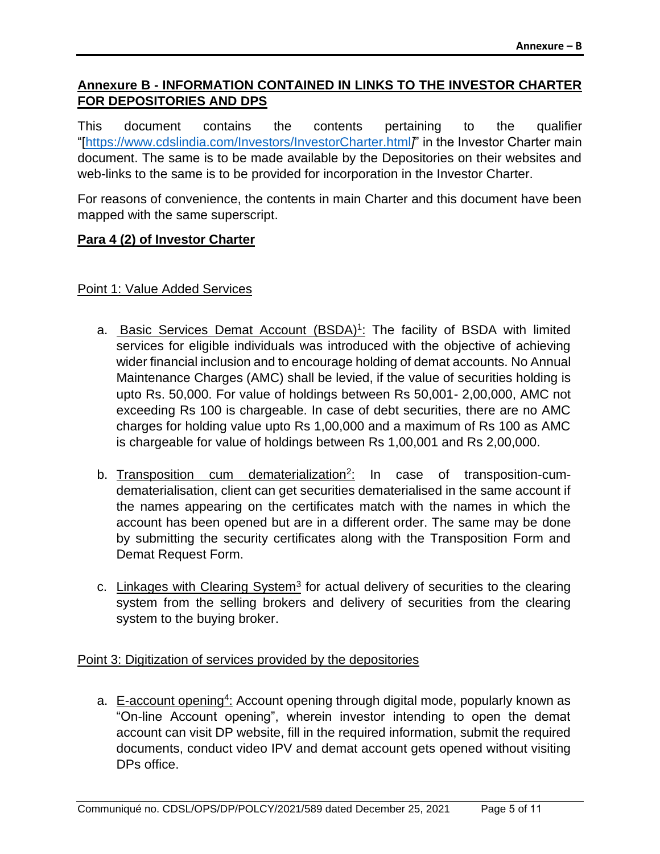# **Annexure B - INFORMATION CONTAINED IN LINKS TO THE INVESTOR CHARTER FOR DEPOSITORIES AND DPS**

This document contains the contents pertaining to the qualifier "[https://www.cdslindia.com/Investors/InvestorCharter.html*]*" in the Investor Charter main document. The same is to be made available by the Depositories on their websites and web-links to the same is to be provided for incorporation in the Investor Charter.

For reasons of convenience, the contents in main Charter and this document have been mapped with the same superscript.

### **Para 4 (2) of Investor Charter**

#### Point 1: Value Added Services

- a. **Basic Services Demat Account (BSDA)<sup>1</sup>:** The facility of BSDA with limited services for eligible individuals was introduced with the objective of achieving wider financial inclusion and to encourage holding of demat accounts. No Annual Maintenance Charges (AMC) shall be levied, if the value of securities holding is upto Rs. 50,000. For value of holdings between Rs 50,001- 2,00,000, AMC not exceeding Rs 100 is chargeable. In case of debt securities, there are no AMC charges for holding value upto Rs 1,00,000 and a maximum of Rs 100 as AMC is chargeable for value of holdings between Rs 1,00,001 and Rs 2,00,000.
- b. Transposition cum dematerialization<sup>2</sup>: In case of transposition-cumdematerialisation, client can get securities dematerialised in the same account if the names appearing on the certificates match with the names in which the account has been opened but are in a different order. The same may be done by submitting the security certificates along with the Transposition Form and Demat Request Form.
- c. Linkages with Clearing System<sup>3</sup> for actual delivery of securities to the clearing system from the selling brokers and delivery of securities from the clearing system to the buying broker.

#### Point 3: Digitization of services provided by the depositories

a. E-account opening<sup>4</sup>: Account opening through digital mode, popularly known as "On-line Account opening", wherein investor intending to open the demat account can visit DP website, fill in the required information, submit the required documents, conduct video IPV and demat account gets opened without visiting DPs office.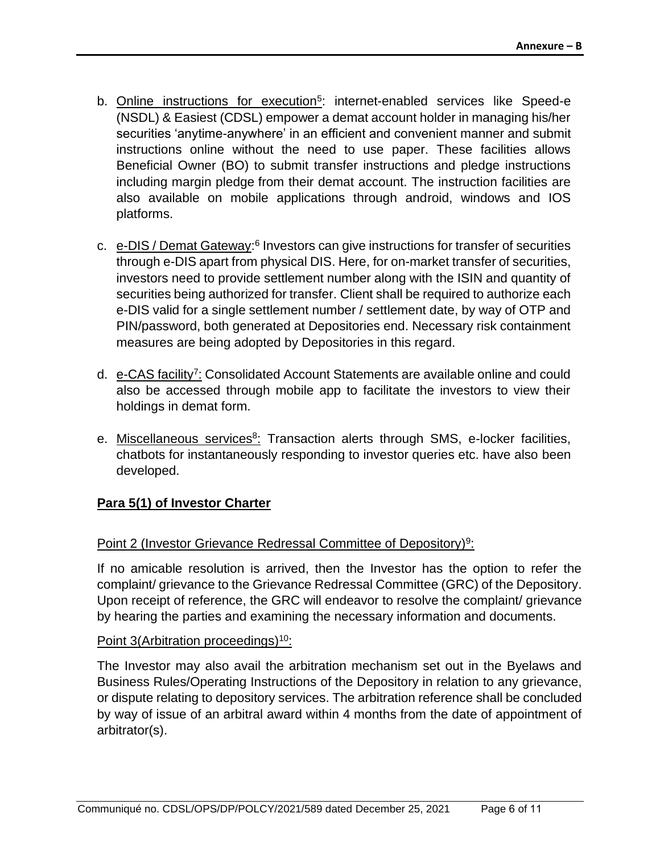- b. **Online instructions for execution<sup>5</sup>: internet-enabled services like Speed-e** (NSDL) & Easiest (CDSL) empower a demat account holder in managing his/her securities 'anytime-anywhere' in an efficient and convenient manner and submit instructions online without the need to use paper. These facilities allows Beneficial Owner (BO) to submit transfer instructions and pledge instructions including margin pledge from their demat account. The instruction facilities are also available on mobile applications through android, windows and IOS platforms.
- c. e-DIS / Demat Gateway:<sup>6</sup> Investors can give instructions for transfer of securities through e-DIS apart from physical DIS. Here, for on-market transfer of securities, investors need to provide settlement number along with the ISIN and quantity of securities being authorized for transfer. Client shall be required to authorize each e-DIS valid for a single settlement number / settlement date, by way of OTP and PIN/password, both generated at Depositories end. Necessary risk containment measures are being adopted by Depositories in this regard.
- d. e-CAS facility<sup>7</sup>: Consolidated Account Statements are available online and could also be accessed through mobile app to facilitate the investors to view their holdings in demat form.
- e. Miscellaneous services<sup>8</sup>: Transaction alerts through SMS, e-locker facilities, chatbots for instantaneously responding to investor queries etc. have also been developed.

# **Para 5(1) of Investor Charter**

### Point 2 (Investor Grievance Redressal Committee of Depository)<sup>9</sup>:

If no amicable resolution is arrived, then the Investor has the option to refer the complaint/ grievance to the Grievance Redressal Committee (GRC) of the Depository. Upon receipt of reference, the GRC will endeavor to resolve the complaint/ grievance by hearing the parties and examining the necessary information and documents.

#### Point 3(Arbitration proceedings)<sup>10</sup>:

The Investor may also avail the arbitration mechanism set out in the Byelaws and Business Rules/Operating Instructions of the Depository in relation to any grievance, or dispute relating to depository services. The arbitration reference shall be concluded by way of issue of an arbitral award within 4 months from the date of appointment of arbitrator(s).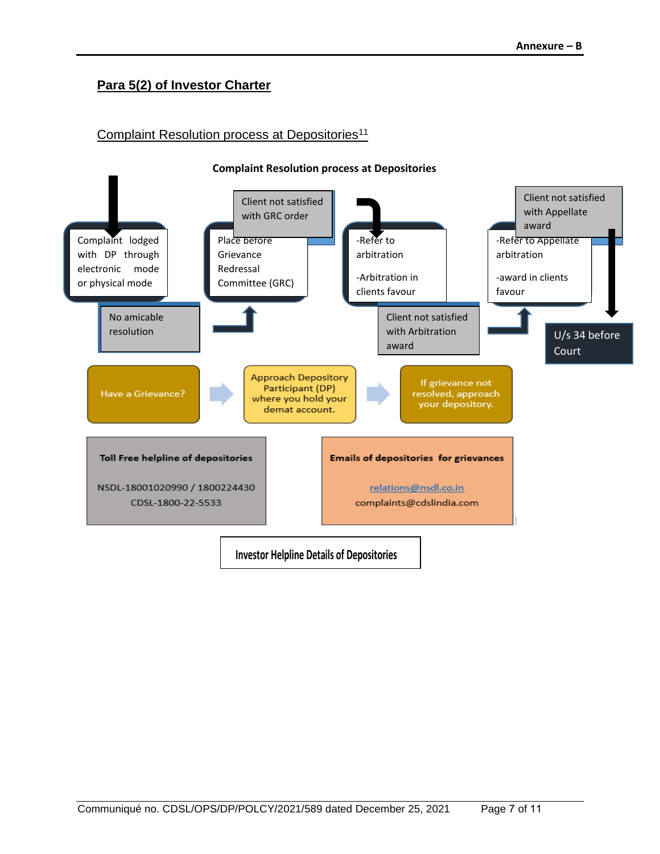# **Para 5(2) of Investor Charter**

### Complaint Resolution process at Depositories<sup>11</sup>

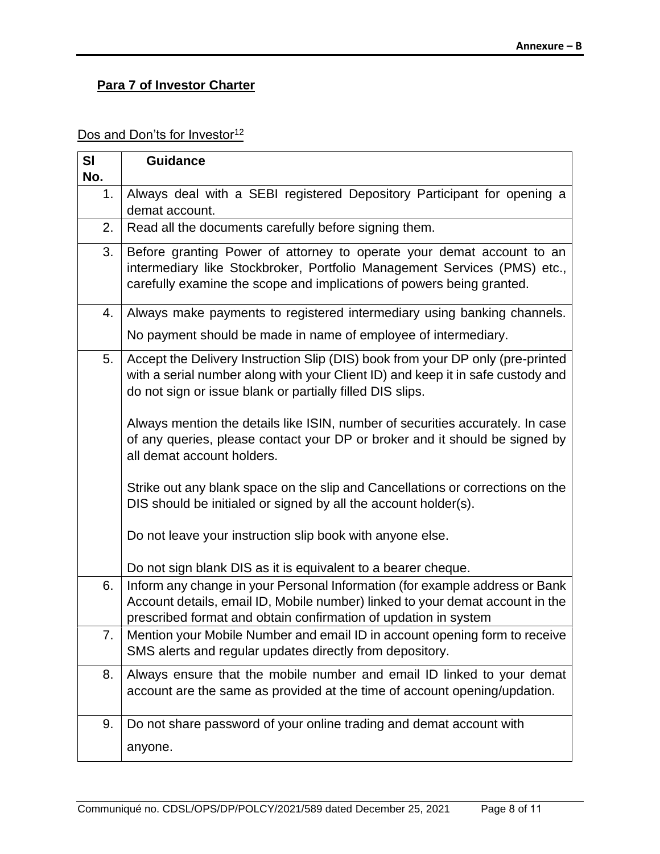# **Para 7 of Investor Charter**

# Dos and Don'ts for Investor<sup>12</sup>

| SI        | <b>Guidance</b>                                                                                                                                                                                                                 |
|-----------|---------------------------------------------------------------------------------------------------------------------------------------------------------------------------------------------------------------------------------|
| No.<br>1. | Always deal with a SEBI registered Depository Participant for opening a                                                                                                                                                         |
|           | demat account.                                                                                                                                                                                                                  |
| 2.        | Read all the documents carefully before signing them.                                                                                                                                                                           |
| 3.        | Before granting Power of attorney to operate your demat account to an<br>intermediary like Stockbroker, Portfolio Management Services (PMS) etc.,<br>carefully examine the scope and implications of powers being granted.      |
| 4.        | Always make payments to registered intermediary using banking channels.                                                                                                                                                         |
|           | No payment should be made in name of employee of intermediary.                                                                                                                                                                  |
| 5.        | Accept the Delivery Instruction Slip (DIS) book from your DP only (pre-printed<br>with a serial number along with your Client ID) and keep it in safe custody and<br>do not sign or issue blank or partially filled DIS slips.  |
|           | Always mention the details like ISIN, number of securities accurately. In case<br>of any queries, please contact your DP or broker and it should be signed by<br>all demat account holders.                                     |
|           | Strike out any blank space on the slip and Cancellations or corrections on the<br>DIS should be initialed or signed by all the account holder(s).                                                                               |
|           | Do not leave your instruction slip book with anyone else.                                                                                                                                                                       |
|           | Do not sign blank DIS as it is equivalent to a bearer cheque.                                                                                                                                                                   |
| 6.        | Inform any change in your Personal Information (for example address or Bank<br>Account details, email ID, Mobile number) linked to your demat account in the<br>prescribed format and obtain confirmation of updation in system |
| 7.        | Mention your Mobile Number and email ID in account opening form to receive<br>SMS alerts and regular updates directly from depository.                                                                                          |
| 8.        | Always ensure that the mobile number and email ID linked to your demat<br>account are the same as provided at the time of account opening/updation.                                                                             |
| 9.        | Do not share password of your online trading and demat account with                                                                                                                                                             |
|           | anyone.                                                                                                                                                                                                                         |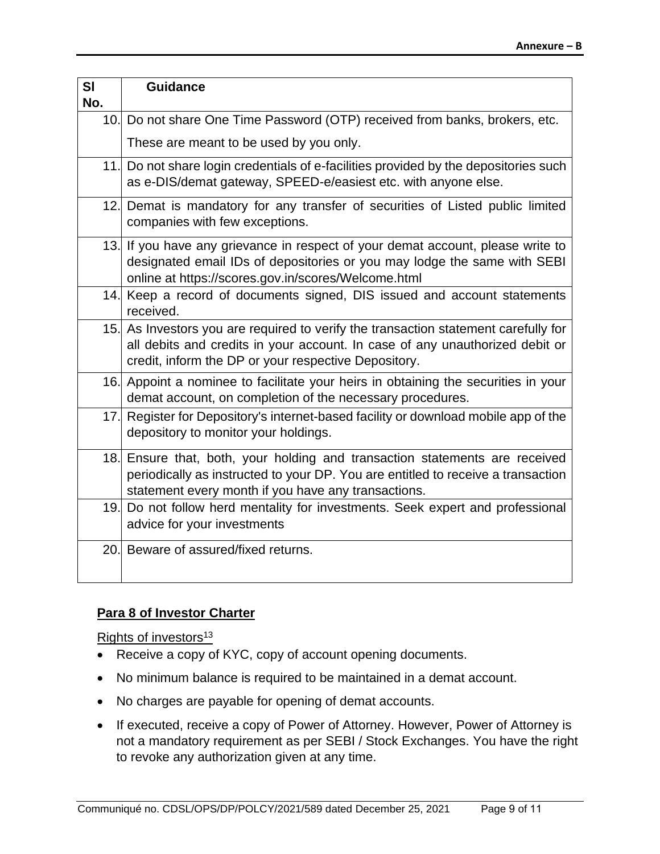| SI<br>No. | <b>Guidance</b>                                                                                                                                                                                                             |
|-----------|-----------------------------------------------------------------------------------------------------------------------------------------------------------------------------------------------------------------------------|
|           | 10. Do not share One Time Password (OTP) received from banks, brokers, etc.                                                                                                                                                 |
|           | These are meant to be used by you only.                                                                                                                                                                                     |
|           | 11. Do not share login credentials of e-facilities provided by the depositories such<br>as e-DIS/demat gateway, SPEED-e/easiest etc. with anyone else.                                                                      |
|           | 12. Demat is mandatory for any transfer of securities of Listed public limited<br>companies with few exceptions.                                                                                                            |
|           | 13. If you have any grievance in respect of your demat account, please write to<br>designated email IDs of depositories or you may lodge the same with SEBI<br>online at https://scores.gov.in/scores/Welcome.html          |
|           | 14. Keep a record of documents signed, DIS issued and account statements<br>received.                                                                                                                                       |
|           | 15. As Investors you are required to verify the transaction statement carefully for<br>all debits and credits in your account. In case of any unauthorized debit or<br>credit, inform the DP or your respective Depository. |
|           | 16. Appoint a nominee to facilitate your heirs in obtaining the securities in your<br>demat account, on completion of the necessary procedures.                                                                             |
|           | 17. Register for Depository's internet-based facility or download mobile app of the<br>depository to monitor your holdings.                                                                                                 |
|           | 18. Ensure that, both, your holding and transaction statements are received<br>periodically as instructed to your DP. You are entitled to receive a transaction<br>statement every month if you have any transactions.      |
|           | 19. Do not follow herd mentality for investments. Seek expert and professional<br>advice for your investments                                                                                                               |
|           | 20. Beware of assured/fixed returns.                                                                                                                                                                                        |

#### **Para 8 of Investor Charter**

Rights of investors<sup>13</sup>

- Receive a copy of KYC, copy of account opening documents.
- No minimum balance is required to be maintained in a demat account.
- No charges are payable for opening of demat accounts.
- If executed, receive a copy of Power of Attorney. However, Power of Attorney is not a mandatory requirement as per SEBI / Stock Exchanges. You have the right to revoke any authorization given at any time.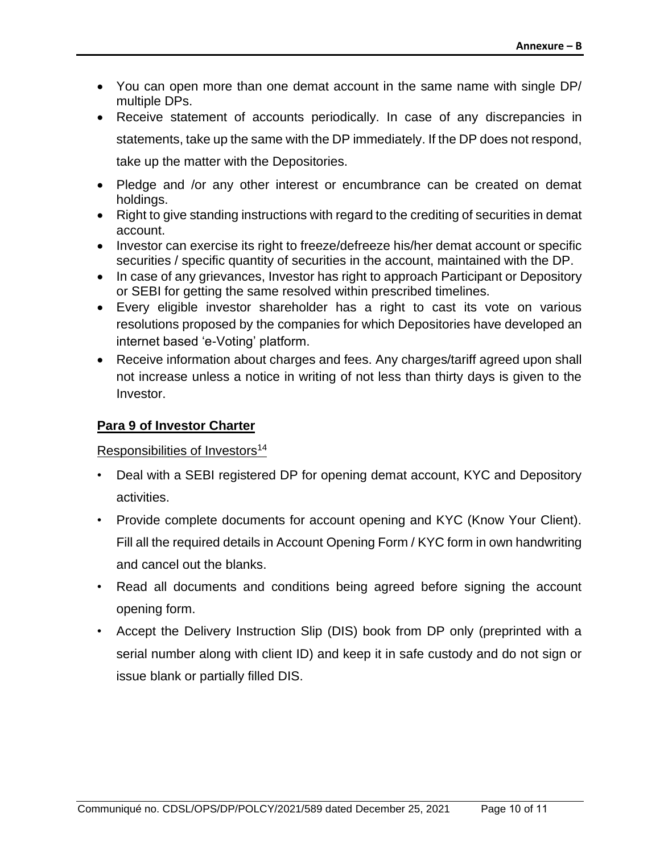- You can open more than one demat account in the same name with single DP/ multiple DPs.
- Receive statement of accounts periodically. In case of any discrepancies in statements, take up the same with the DP immediately. If the DP does not respond, take up the matter with the Depositories.
- Pledge and /or any other interest or encumbrance can be created on demat holdings.
- Right to give standing instructions with regard to the crediting of securities in demat account.
- Investor can exercise its right to freeze/defreeze his/her demat account or specific securities / specific quantity of securities in the account, maintained with the DP.
- In case of any grievances, Investor has right to approach Participant or Depository or SEBI for getting the same resolved within prescribed timelines.
- Every eligible investor shareholder has a right to cast its vote on various resolutions proposed by the companies for which Depositories have developed an internet based 'e-Voting' platform.
- Receive information about charges and fees. Any charges/tariff agreed upon shall not increase unless a notice in writing of not less than thirty days is given to the Investor.

# **Para 9 of Investor Charter**

#### Responsibilities of Investors<sup>14</sup>

- Deal with a SEBI registered DP for opening demat account, KYC and Depository activities.
- Provide complete documents for account opening and KYC (Know Your Client). Fill all the required details in Account Opening Form / KYC form in own handwriting and cancel out the blanks.
- Read all documents and conditions being agreed before signing the account opening form.
- Accept the Delivery Instruction Slip (DIS) book from DP only (preprinted with a serial number along with client ID) and keep it in safe custody and do not sign or issue blank or partially filled DIS.